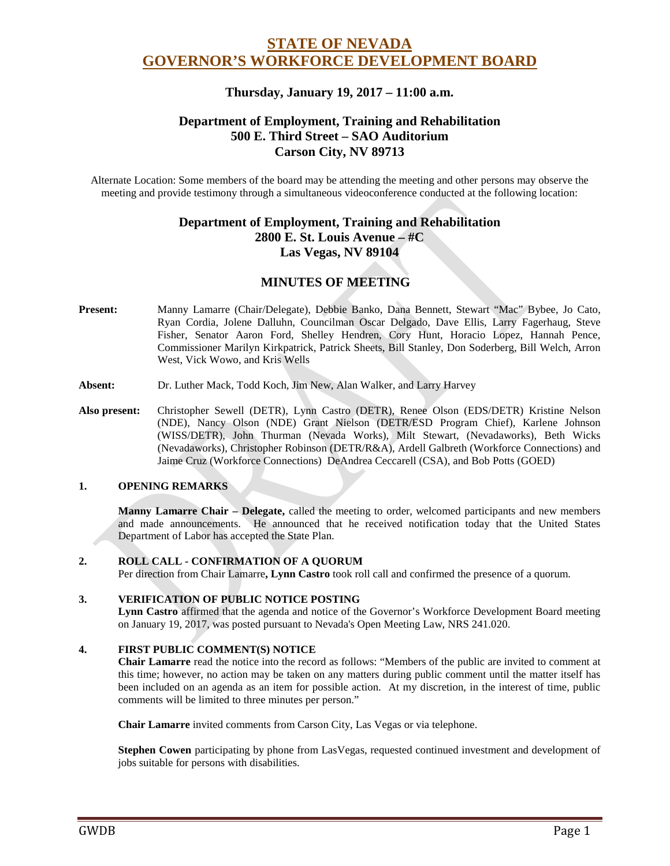# **STATE OF NEVADA GOVERNOR'S WORKFORCE DEVELOPMENT BOARD**

## **Thursday, January 19, 2017 – 11:00 a.m.**

## **Department of Employment, Training and Rehabilitation 500 E. Third Street – SAO Auditorium Carson City, NV 89713**

Alternate Location: Some members of the board may be attending the meeting and other persons may observe the meeting and provide testimony through a simultaneous videoconference conducted at the following location:

## **Department of Employment, Training and Rehabilitation 2800 E. St. Louis Avenue – #C Las Vegas, NV 89104**

## **MINUTES OF MEETING**

- **Present:** Manny Lamarre (Chair/Delegate), Debbie Banko, Dana Bennett, Stewart "Mac" Bybee, Jo Cato, Ryan Cordia, Jolene Dalluhn, Councilman Oscar Delgado, Dave Ellis, Larry Fagerhaug, Steve Fisher, Senator Aaron Ford, Shelley Hendren, Cory Hunt, Horacio Lopez, Hannah Pence, Commissioner Marilyn Kirkpatrick, Patrick Sheets, Bill Stanley, Don Soderberg, Bill Welch, Arron West, Vick Wowo, and Kris Wells
- **Absent:** Dr. Luther Mack, Todd Koch, Jim New, Alan Walker, and Larry Harvey
- **Also present:** Christopher Sewell (DETR), Lynn Castro (DETR), Renee Olson (EDS/DETR) Kristine Nelson (NDE), Nancy Olson (NDE) Grant Nielson (DETR/ESD Program Chief), Karlene Johnson (WISS/DETR), John Thurman (Nevada Works), Milt Stewart, (Nevadaworks), Beth Wicks (Nevadaworks), Christopher Robinson (DETR/R&A), Ardell Galbreth (Workforce Connections) and Jaime Cruz (Workforce Connections) DeAndrea Ceccarell (CSA), and Bob Potts (GOED)

#### **1. OPENING REMARKS**

**Manny Lamarre Chair – Delegate,** called the meeting to order, welcomed participants and new members and made announcements. He announced that he received notification today that the United States Department of Labor has accepted the State Plan.

#### **2. ROLL CALL - CONFIRMATION OF A QUORUM**

Per direction from Chair Lamarre**, Lynn Castro** took roll call and confirmed the presence of a quorum.

#### **3. VERIFICATION OF PUBLIC NOTICE POSTING**

**Lynn Castro** affirmed that the agenda and notice of the Governor's Workforce Development Board meeting on January 19, 2017, was posted pursuant to Nevada's Open Meeting Law, NRS 241.020.

#### **4. FIRST PUBLIC COMMENT(S) NOTICE**

**Chair Lamarre** read the notice into the record as follows: "Members of the public are invited to comment at this time; however, no action may be taken on any matters during public comment until the matter itself has been included on an agenda as an item for possible action. At my discretion, in the interest of time, public comments will be limited to three minutes per person."

**Chair Lamarre** invited comments from Carson City, Las Vegas or via telephone.

**Stephen Cowen** participating by phone from LasVegas, requested continued investment and development of jobs suitable for persons with disabilities.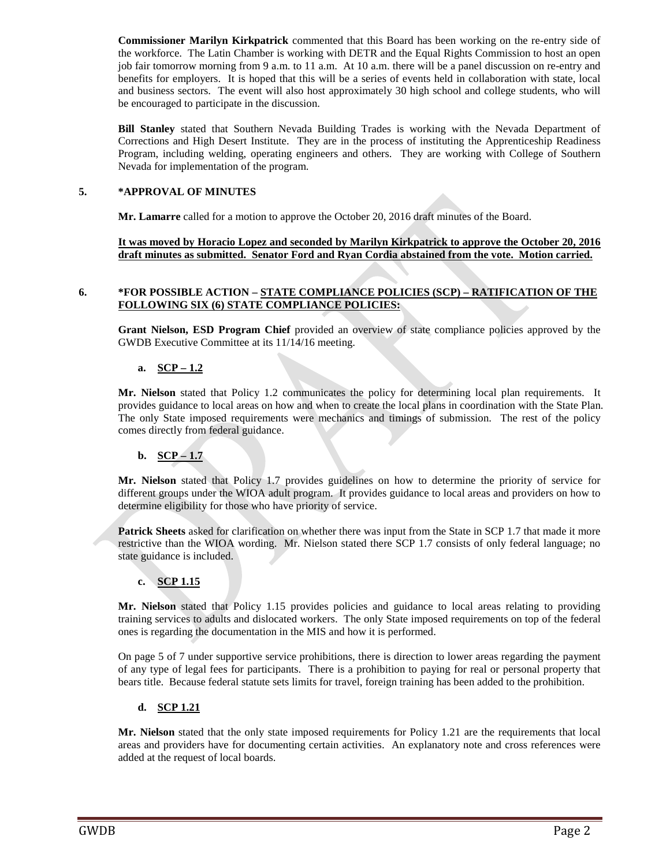**Commissioner Marilyn Kirkpatrick** commented that this Board has been working on the re-entry side of the workforce. The Latin Chamber is working with DETR and the Equal Rights Commission to host an open job fair tomorrow morning from 9 a.m. to 11 a.m. At 10 a.m. there will be a panel discussion on re-entry and benefits for employers. It is hoped that this will be a series of events held in collaboration with state, local and business sectors. The event will also host approximately 30 high school and college students, who will be encouraged to participate in the discussion.

**Bill Stanley** stated that Southern Nevada Building Trades is working with the Nevada Department of Corrections and High Desert Institute. They are in the process of instituting the Apprenticeship Readiness Program, including welding, operating engineers and others. They are working with College of Southern Nevada for implementation of the program.

### **5. \*APPROVAL OF MINUTES**

**Mr. Lamarre** called for a motion to approve the October 20, 2016 draft minutes of the Board.

**It was moved by Horacio Lopez and seconded by Marilyn Kirkpatrick to approve the October 20, 2016 draft minutes as submitted. Senator Ford and Ryan Cordia abstained from the vote. Motion carried.** 

#### **6. \*FOR POSSIBLE ACTION – STATE COMPLIANCE POLICIES (SCP) – RATIFICATION OF THE FOLLOWING SIX (6) STATE COMPLIANCE POLICIES:**

**Grant Nielson, ESD Program Chief** provided an overview of state compliance policies approved by the GWDB Executive Committee at its 11/14/16 meeting.

### **a. SCP – 1.2**

**Mr. Nielson** stated that Policy 1.2 communicates the policy for determining local plan requirements. It provides guidance to local areas on how and when to create the local plans in coordination with the State Plan. The only State imposed requirements were mechanics and timings of submission. The rest of the policy comes directly from federal guidance.

## **b. SCP – 1.7**

**Mr. Nielson** stated that Policy 1.7 provides guidelines on how to determine the priority of service for different groups under the WIOA adult program. It provides guidance to local areas and providers on how to determine eligibility for those who have priority of service.

**Patrick Sheets** asked for clarification on whether there was input from the State in SCP 1.7 that made it more restrictive than the WIOA wording. Mr. Nielson stated there SCP 1.7 consists of only federal language; no state guidance is included.

## **c. SCP 1.15**

**Mr. Nielson** stated that Policy 1.15 provides policies and guidance to local areas relating to providing training services to adults and dislocated workers. The only State imposed requirements on top of the federal ones is regarding the documentation in the MIS and how it is performed.

On page 5 of 7 under supportive service prohibitions, there is direction to lower areas regarding the payment of any type of legal fees for participants. There is a prohibition to paying for real or personal property that bears title. Because federal statute sets limits for travel, foreign training has been added to the prohibition.

## **d. SCP 1.21**

**Mr. Nielson** stated that the only state imposed requirements for Policy 1.21 are the requirements that local areas and providers have for documenting certain activities. An explanatory note and cross references were added at the request of local boards.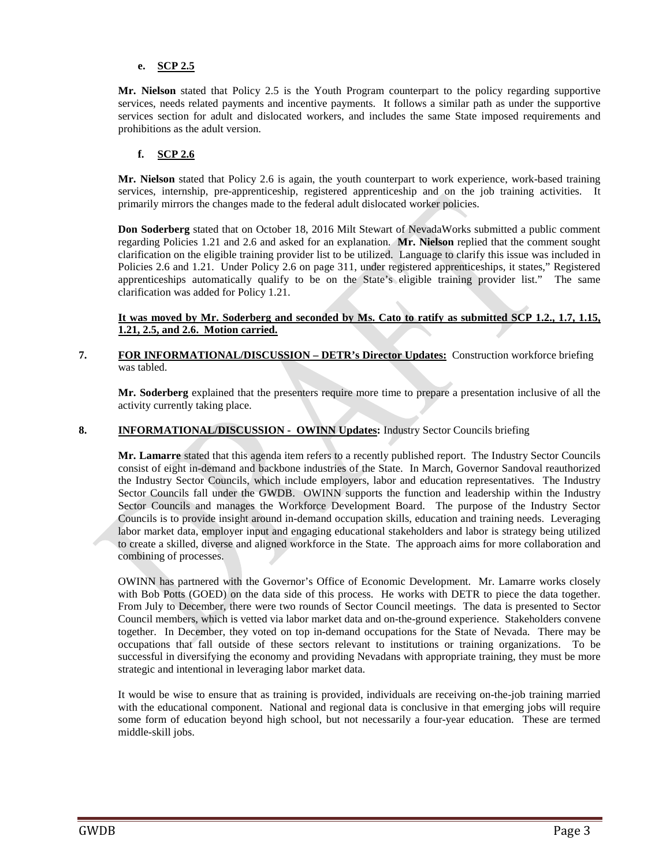### **e. SCP 2.5**

**Mr. Nielson** stated that Policy 2.5 is the Youth Program counterpart to the policy regarding supportive services, needs related payments and incentive payments. It follows a similar path as under the supportive services section for adult and dislocated workers, and includes the same State imposed requirements and prohibitions as the adult version.

### **f. SCP 2.6**

**Mr. Nielson** stated that Policy 2.6 is again, the youth counterpart to work experience, work-based training services, internship, pre-apprenticeship, registered apprenticeship and on the job training activities. It primarily mirrors the changes made to the federal adult dislocated worker policies.

**Don Soderberg** stated that on October 18, 2016 Milt Stewart of NevadaWorks submitted a public comment regarding Policies 1.21 and 2.6 and asked for an explanation. **Mr. Nielson** replied that the comment sought clarification on the eligible training provider list to be utilized. Language to clarify this issue was included in Policies 2.6 and 1.21. Under Policy 2.6 on page 311, under registered apprenticeships, it states," Registered apprenticeships automatically qualify to be on the State's eligible training provider list." The same clarification was added for Policy 1.21.

**It was moved by Mr. Soderberg and seconded by Ms. Cato to ratify as submitted SCP 1.2., 1.7, 1.15, 1.21, 2.5, and 2.6. Motion carried.** 

#### **7. FOR INFORMATIONAL/DISCUSSION – DETR's Director Updates:** Construction workforce briefing was tabled.

**Mr. Soderberg** explained that the presenters require more time to prepare a presentation inclusive of all the activity currently taking place.

### **8. INFORMATIONAL/DISCUSSION - OWINN Updates:** Industry Sector Councils briefing

**Mr. Lamarre** stated that this agenda item refers to a recently published report. The Industry Sector Councils consist of eight in-demand and backbone industries of the State. In March, Governor Sandoval reauthorized the Industry Sector Councils, which include employers, labor and education representatives. The Industry Sector Councils fall under the GWDB. OWINN supports the function and leadership within the Industry Sector Councils and manages the Workforce Development Board. The purpose of the Industry Sector Councils is to provide insight around in-demand occupation skills, education and training needs. Leveraging labor market data, employer input and engaging educational stakeholders and labor is strategy being utilized to create a skilled, diverse and aligned workforce in the State. The approach aims for more collaboration and combining of processes.

OWINN has partnered with the Governor's Office of Economic Development. Mr. Lamarre works closely with Bob Potts (GOED) on the data side of this process. He works with DETR to piece the data together. From July to December, there were two rounds of Sector Council meetings. The data is presented to Sector Council members, which is vetted via labor market data and on-the-ground experience. Stakeholders convene together. In December, they voted on top in-demand occupations for the State of Nevada. There may be occupations that fall outside of these sectors relevant to institutions or training organizations. To be successful in diversifying the economy and providing Nevadans with appropriate training, they must be more strategic and intentional in leveraging labor market data.

It would be wise to ensure that as training is provided, individuals are receiving on-the-job training married with the educational component. National and regional data is conclusive in that emerging jobs will require some form of education beyond high school, but not necessarily a four-year education. These are termed middle-skill jobs.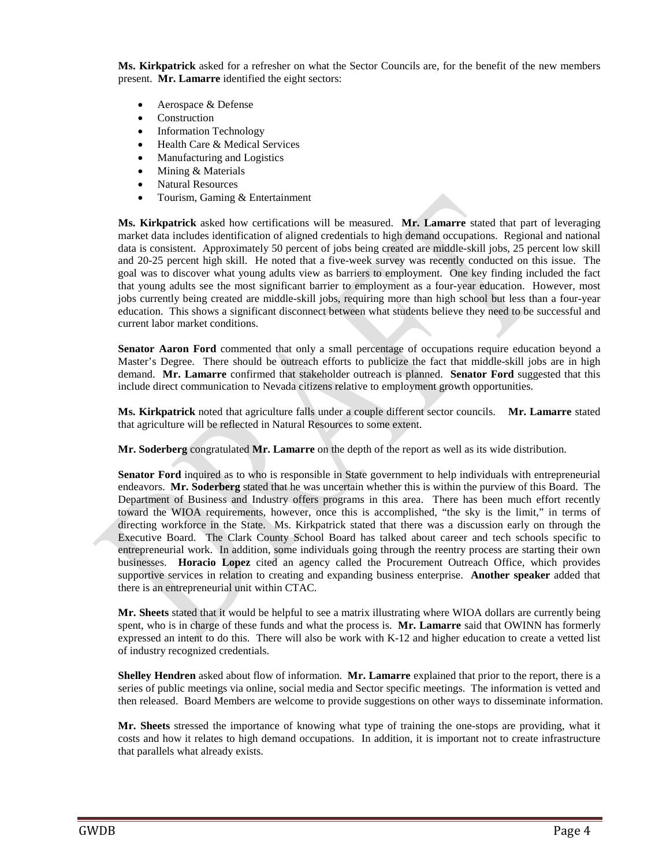**Ms. Kirkpatrick** asked for a refresher on what the Sector Councils are, for the benefit of the new members present. **Mr. Lamarre** identified the eight sectors:

- Aerospace & Defense
- **Construction**
- Information Technology
- Health Care & Medical Services
- Manufacturing and Logistics
- Mining & Materials
- Natural Resources
- Tourism, Gaming & Entertainment

**Ms. Kirkpatrick** asked how certifications will be measured. **Mr. Lamarre** stated that part of leveraging market data includes identification of aligned credentials to high demand occupations. Regional and national data is consistent. Approximately 50 percent of jobs being created are middle-skill jobs, 25 percent low skill and 20-25 percent high skill. He noted that a five-week survey was recently conducted on this issue. The goal was to discover what young adults view as barriers to employment. One key finding included the fact that young adults see the most significant barrier to employment as a four-year education. However, most jobs currently being created are middle-skill jobs, requiring more than high school but less than a four-year education. This shows a significant disconnect between what students believe they need to be successful and current labor market conditions.

**Senator Aaron Ford** commented that only a small percentage of occupations require education beyond a Master's Degree. There should be outreach efforts to publicize the fact that middle-skill jobs are in high demand. **Mr. Lamarre** confirmed that stakeholder outreach is planned. **Senator Ford** suggested that this include direct communication to Nevada citizens relative to employment growth opportunities.

**Ms. Kirkpatrick** noted that agriculture falls under a couple different sector councils. **Mr. Lamarre** stated that agriculture will be reflected in Natural Resources to some extent.

**Mr. Soderberg** congratulated **Mr. Lamarre** on the depth of the report as well as its wide distribution.

**Senator Ford** inquired as to who is responsible in State government to help individuals with entrepreneurial endeavors. **Mr. Soderberg** stated that he was uncertain whether this is within the purview of this Board. The Department of Business and Industry offers programs in this area. There has been much effort recently toward the WIOA requirements, however, once this is accomplished, "the sky is the limit," in terms of directing workforce in the State. Ms. Kirkpatrick stated that there was a discussion early on through the Executive Board. The Clark County School Board has talked about career and tech schools specific to entrepreneurial work. In addition, some individuals going through the reentry process are starting their own businesses. **Horacio Lopez** cited an agency called the Procurement Outreach Office, which provides supportive services in relation to creating and expanding business enterprise. **Another speaker** added that there is an entrepreneurial unit within CTAC.

**Mr. Sheets** stated that it would be helpful to see a matrix illustrating where WIOA dollars are currently being spent, who is in charge of these funds and what the process is. **Mr. Lamarre** said that OWINN has formerly expressed an intent to do this. There will also be work with K-12 and higher education to create a vetted list of industry recognized credentials.

**Shelley Hendren** asked about flow of information. **Mr. Lamarre** explained that prior to the report, there is a series of public meetings via online, social media and Sector specific meetings. The information is vetted and then released. Board Members are welcome to provide suggestions on other ways to disseminate information.

**Mr. Sheets** stressed the importance of knowing what type of training the one-stops are providing, what it costs and how it relates to high demand occupations. In addition, it is important not to create infrastructure that parallels what already exists.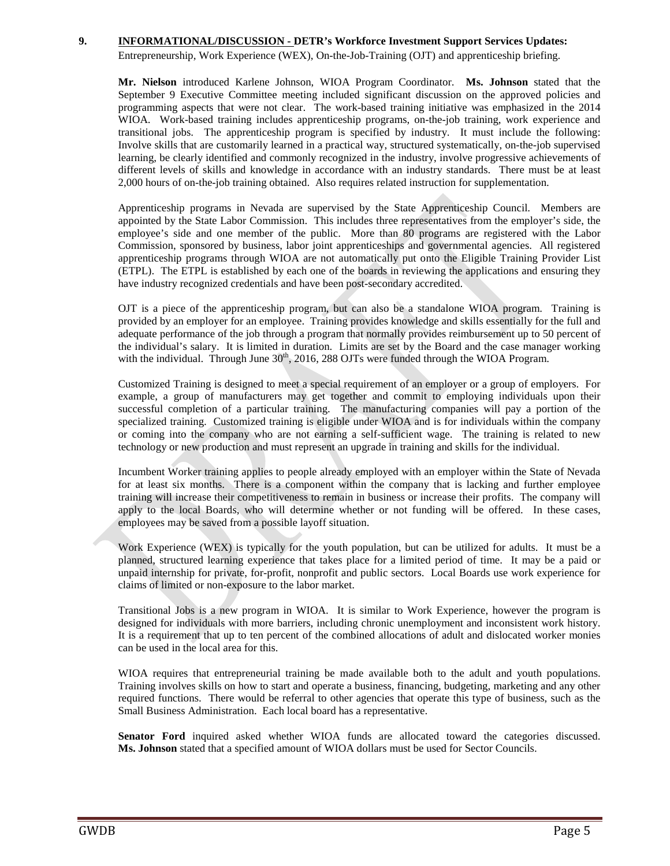#### **9. INFORMATIONAL/DISCUSSION - DETR's Workforce Investment Support Services Updates:**

Entrepreneurship, Work Experience (WEX), On-the-Job-Training (OJT) and apprenticeship briefing.

**Mr. Nielson** introduced Karlene Johnson, WIOA Program Coordinator. **Ms. Johnson** stated that the September 9 Executive Committee meeting included significant discussion on the approved policies and programming aspects that were not clear. The work-based training initiative was emphasized in the 2014 WIOA. Work-based training includes apprenticeship programs, on-the-job training, work experience and transitional jobs. The apprenticeship program is specified by industry. It must include the following: Involve skills that are customarily learned in a practical way, structured systematically, on-the-job supervised learning, be clearly identified and commonly recognized in the industry, involve progressive achievements of different levels of skills and knowledge in accordance with an industry standards. There must be at least 2,000 hours of on-the-job training obtained. Also requires related instruction for supplementation.

Apprenticeship programs in Nevada are supervised by the State Apprenticeship Council. Members are appointed by the State Labor Commission. This includes three representatives from the employer's side, the employee's side and one member of the public. More than 80 programs are registered with the Labor Commission, sponsored by business, labor joint apprenticeships and governmental agencies. All registered apprenticeship programs through WIOA are not automatically put onto the Eligible Training Provider List (ETPL). The ETPL is established by each one of the boards in reviewing the applications and ensuring they have industry recognized credentials and have been post-secondary accredited.

OJT is a piece of the apprenticeship program, but can also be a standalone WIOA program. Training is provided by an employer for an employee. Training provides knowledge and skills essentially for the full and adequate performance of the job through a program that normally provides reimbursement up to 50 percent of the individual's salary. It is limited in duration. Limits are set by the Board and the case manager working with the individual. Through June  $30<sup>th</sup>$ , 2016, 288 OJTs were funded through the WIOA Program.

Customized Training is designed to meet a special requirement of an employer or a group of employers. For example, a group of manufacturers may get together and commit to employing individuals upon their successful completion of a particular training. The manufacturing companies will pay a portion of the specialized training. Customized training is eligible under WIOA and is for individuals within the company or coming into the company who are not earning a self-sufficient wage. The training is related to new technology or new production and must represent an upgrade in training and skills for the individual.

Incumbent Worker training applies to people already employed with an employer within the State of Nevada for at least six months. There is a component within the company that is lacking and further employee training will increase their competitiveness to remain in business or increase their profits. The company will apply to the local Boards, who will determine whether or not funding will be offered. In these cases, employees may be saved from a possible layoff situation.

Work Experience (WEX) is typically for the youth population, but can be utilized for adults. It must be a planned, structured learning experience that takes place for a limited period of time. It may be a paid or unpaid internship for private, for-profit, nonprofit and public sectors. Local Boards use work experience for claims of limited or non-exposure to the labor market.

Transitional Jobs is a new program in WIOA. It is similar to Work Experience, however the program is designed for individuals with more barriers, including chronic unemployment and inconsistent work history. It is a requirement that up to ten percent of the combined allocations of adult and dislocated worker monies can be used in the local area for this.

WIOA requires that entrepreneurial training be made available both to the adult and youth populations. Training involves skills on how to start and operate a business, financing, budgeting, marketing and any other required functions. There would be referral to other agencies that operate this type of business, such as the Small Business Administration. Each local board has a representative.

**Senator Ford** inquired asked whether WIOA funds are allocated toward the categories discussed. **Ms. Johnson** stated that a specified amount of WIOA dollars must be used for Sector Councils.